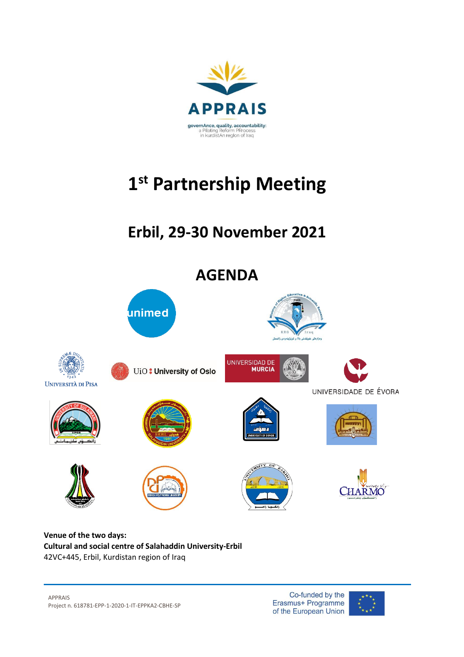

# **1 st Partnership Meeting**

# **Erbil, 29-30 November 2021**



#### **Venue of the two days: Cultural and social centre of Salahaddin University-Erbil** 42VC+445, Erbil, Kurdistan region of Iraq

APPRAIS Project n. 618781-EPP-1-2020-1-IT-EPPKA2-CBHE-SP

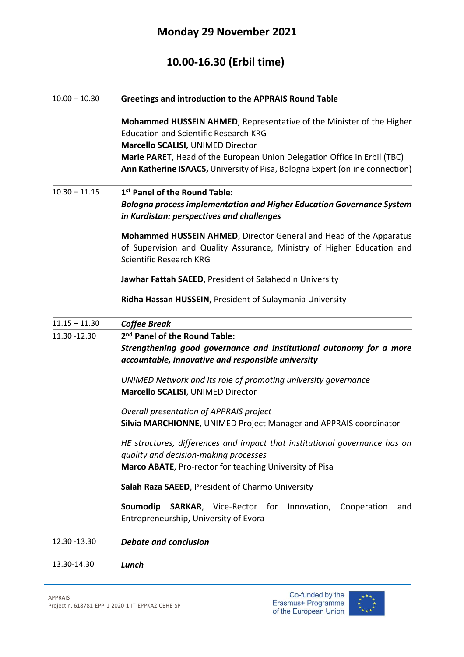#### **Monday 29 November 2021**

### **10.00-16.30 (Erbil time)**

#### 10.00 – 10.30 **Greetings and introduction to the APPRAIS Round Table**

**Mohammed HUSSEIN AHMED**, Representative of the Minister of the Higher Education and Scientific Research KRG **Marcello SCALISI,** UNIMED Director **Marie PARET,** Head of the European Union Delegation Office in Erbil (TBC) **Ann Katherine ISAACS,** University of Pisa, Bologna Expert (online connection)

#### 10.30 – 11.15 **1 st Panel of the Round Table:**  *Bologna process implementation and Higher Education Governance System in Kurdistan: perspectives and challenges*

**Mohammed HUSSEIN AHMED**, Director General and Head of the Apparatus of Supervision and Quality Assurance, Ministry of Higher Education and Scientific Research KRG

**Jawhar Fattah SAEED**, President of Salaheddin University

**Ridha Hassan HUSSEIN**, President of Sulaymania University

| $11.15 - 11.30$ | <b>Coffee Break</b>                                                                                                                                                                   |
|-----------------|---------------------------------------------------------------------------------------------------------------------------------------------------------------------------------------|
| 11.30 -12.30    | 2 <sup>nd</sup> Panel of the Round Table:                                                                                                                                             |
|                 | Strengthening good governance and institutional autonomy for a more<br>accountable, innovative and responsible university                                                             |
|                 | UNIMED Network and its role of promoting university governance<br><b>Marcello SCALISI, UNIMED Director</b>                                                                            |
|                 | Overall presentation of APPRAIS project<br>Silvia MARCHIONNE, UNIMED Project Manager and APPRAIS coordinator                                                                          |
|                 | HE structures, differences and impact that institutional governance has on<br>quality and decision-making processes<br><b>Marco ABATE, Pro-rector for teaching University of Pisa</b> |
|                 | Salah Raza SAEED, President of Charmo University                                                                                                                                      |
|                 | Soumodip<br><b>SARKAR,</b> Vice-Rector for Innovation,<br>Cooperation<br>and<br>Entrepreneurship, University of Evora                                                                 |
| 12.30 - 13.30   | <b>Debate and conclusion</b>                                                                                                                                                          |
| 13.30-14.30     | Lunch                                                                                                                                                                                 |

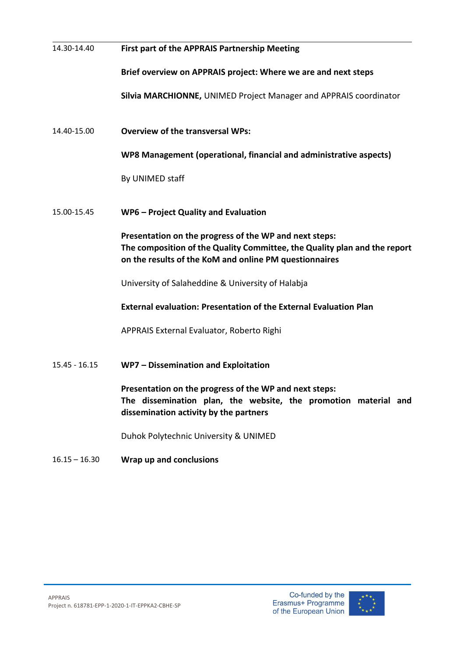| 14.30-14.40     | First part of the APPRAIS Partnership Meeting                                                                                                                                                 |
|-----------------|-----------------------------------------------------------------------------------------------------------------------------------------------------------------------------------------------|
|                 | Brief overview on APPRAIS project: Where we are and next steps                                                                                                                                |
|                 | Silvia MARCHIONNE, UNIMED Project Manager and APPRAIS coordinator                                                                                                                             |
| 14.40-15.00     | <b>Overview of the transversal WPs:</b>                                                                                                                                                       |
|                 | WP8 Management (operational, financial and administrative aspects)                                                                                                                            |
|                 | By UNIMED staff                                                                                                                                                                               |
| 15.00-15.45     | WP6 - Project Quality and Evaluation                                                                                                                                                          |
|                 | Presentation on the progress of the WP and next steps:<br>The composition of the Quality Committee, the Quality plan and the report<br>on the results of the KoM and online PM questionnaires |
|                 | University of Salaheddine & University of Halabja                                                                                                                                             |
|                 | <b>External evaluation: Presentation of the External Evaluation Plan</b>                                                                                                                      |
|                 | APPRAIS External Evaluator, Roberto Righi                                                                                                                                                     |
| $15.45 - 16.15$ | WP7 - Dissemination and Exploitation                                                                                                                                                          |
|                 | Presentation on the progress of the WP and next steps:<br>The dissemination plan, the website, the promotion material and<br>dissemination activity by the partners                           |
|                 | Duhok Polytechnic University & UNIMED                                                                                                                                                         |
| $16.15 - 16.30$ | Wrap up and conclusions                                                                                                                                                                       |

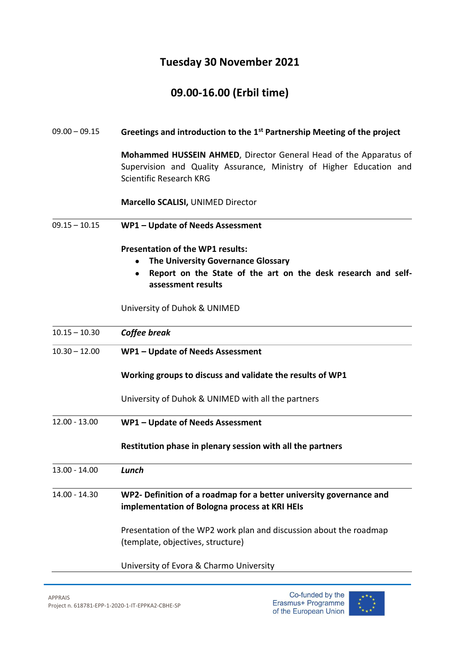### **Tuesday 30 November 2021**

## **09.00-16.00 (Erbil time)**

| $09.00 - 09.15$ | Greetings and introduction to the 1 <sup>st</sup> Partnership Meeting of the project                                                                                              |
|-----------------|-----------------------------------------------------------------------------------------------------------------------------------------------------------------------------------|
|                 | Mohammed HUSSEIN AHMED, Director General Head of the Apparatus of<br>Supervision and Quality Assurance, Ministry of Higher Education and<br><b>Scientific Research KRG</b>        |
|                 | Marcello SCALISI, UNIMED Director                                                                                                                                                 |
| $09.15 - 10.15$ | WP1 - Update of Needs Assessment                                                                                                                                                  |
|                 | <b>Presentation of the WP1 results:</b><br>The University Governance Glossary<br>$\bullet$<br>Report on the State of the art on the desk research and self-<br>assessment results |
|                 | University of Duhok & UNIMED                                                                                                                                                      |
| $10.15 - 10.30$ | Coffee break                                                                                                                                                                      |
| $10.30 - 12.00$ | WP1 - Update of Needs Assessment                                                                                                                                                  |
|                 | Working groups to discuss and validate the results of WP1                                                                                                                         |
|                 | University of Duhok & UNIMED with all the partners                                                                                                                                |
| $12.00 - 13.00$ | WP1 - Update of Needs Assessment                                                                                                                                                  |
|                 | Restitution phase in plenary session with all the partners                                                                                                                        |
| $13.00 - 14.00$ | Lunch                                                                                                                                                                             |
| 14.00 - 14.30   | WP2- Definition of a roadmap for a better university governance and<br>implementation of Bologna process at KRI HEIs                                                              |
|                 | Presentation of the WP2 work plan and discussion about the roadmap<br>(template, objectives, structure)                                                                           |
|                 | University of Evora & Charmo University                                                                                                                                           |